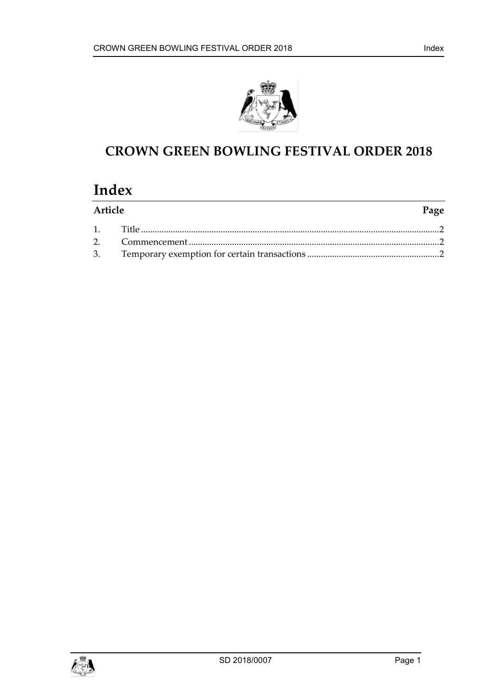



## **CROWN GREEN BOWLING FESTIVAL ORDER 2018**

# **Index**

| Article |  | Page |
|---------|--|------|
|         |  |      |
|         |  |      |
|         |  |      |

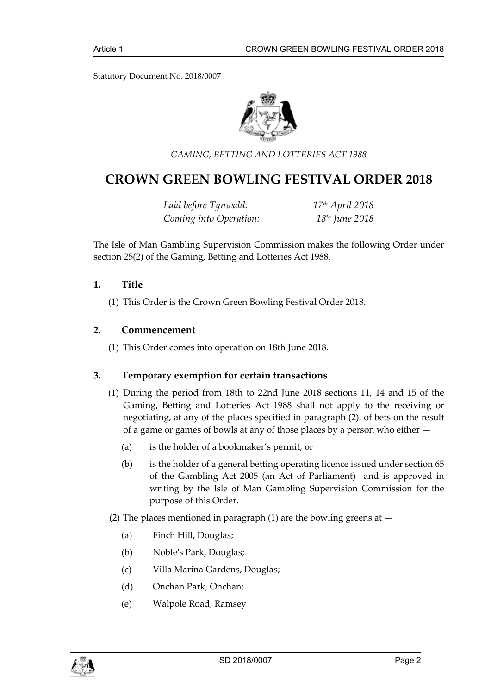Statutory Document No. 2018/0007



*GAMING, BETTING AND LOTTERIES ACT 1988*

### **CROWN GREEN BOWLING FESTIVAL ORDER 2018**

*Laid before Tynwald: 17th April 2018 Coming into Operation: 18th June 2018*

The Isle of Man Gambling Supervision Commission makes the following Order under section 25(2) of the Gaming, Betting and Lotteries Act 1988.

#### <span id="page-2-0"></span>**1. Title**

(1) This Order is the Crown Green Bowling Festival Order 2018.

#### <span id="page-2-1"></span>**2. Commencement**

(1) This Order comes into operation on 18th June 2018.

#### <span id="page-2-2"></span>**3. Temporary exemption for certain transactions**

- (1) During the period from 18th to 22nd June 2018 sections 11, 14 and 15 of the Gaming, Betting and Lotteries Act 1988 shall not apply to the receiving or negotiating, at any of the places specified in paragraph (2), of bets on the result of a game or games of bowls at any of those places by a person who either —
	- (a) is the holder of a bookmaker's permit, or
	- (b) is the holder of a general betting operating licence issued under section 65 of the Gambling Act 2005 (an Act of Parliament) and is approved in writing by the Isle of Man Gambling Supervision Commission for the purpose of this Order.
- (2) The places mentioned in paragraph (1) are the bowling greens at  $-$ 
	- (a) Finch Hill, Douglas;
	- (b) Noble's Park, Douglas;
	- (c) Villa Marina Gardens, Douglas;
	- (d) Onchan Park, Onchan;
	- (e) Walpole Road, Ramsey